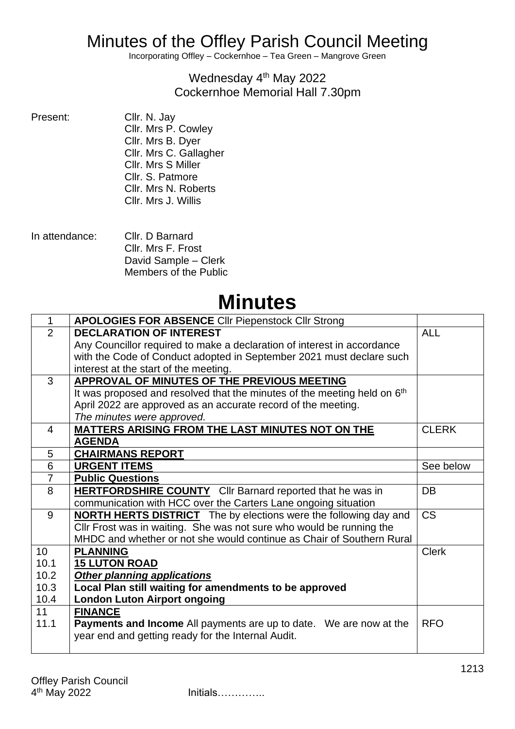## Minutes of the Offley Parish Council Meeting

Incorporating Offley – Cockernhoe – Tea Green – Mangrove Green

## Wednesday 4<sup>th</sup> May 2022 Cockernhoe Memorial Hall 7.30pm

- Cllr. N. Jay Cllr. Mrs P. Cowley Cllr. Mrs B. Dyer Cllr. Mrs C. Gallagher Cllr. Mrs S Miller Cllr. S. Patmore Cllr. Mrs N. Roberts Cllr. Mrs J. Willis
- In attendance: Cllr. D Barnard Cllr. Mrs F. Frost David Sample – Clerk Members of the Public

## **Minutes**

| $\mathbf{1}$    | <b>APOLOGIES FOR ABSENCE CIIr Piepenstock CIIr Strong</b>                            |              |  |  |  |
|-----------------|--------------------------------------------------------------------------------------|--------------|--|--|--|
| $\overline{2}$  | <b>DECLARATION OF INTEREST</b>                                                       | <b>ALL</b>   |  |  |  |
|                 | Any Councillor required to make a declaration of interest in accordance              |              |  |  |  |
|                 | with the Code of Conduct adopted in September 2021 must declare such                 |              |  |  |  |
|                 | interest at the start of the meeting.                                                |              |  |  |  |
| 3               | APPROVAL OF MINUTES OF THE PREVIOUS MEETING                                          |              |  |  |  |
|                 | It was proposed and resolved that the minutes of the meeting held on 6 <sup>th</sup> |              |  |  |  |
|                 | April 2022 are approved as an accurate record of the meeting.                        |              |  |  |  |
|                 | The minutes were approved.                                                           |              |  |  |  |
| 4               | MATTERS ARISING FROM THE LAST MINUTES NOT ON THE                                     | <b>CLERK</b> |  |  |  |
|                 | <b>AGENDA</b>                                                                        |              |  |  |  |
| 5               | <b>CHAIRMANS REPORT</b>                                                              |              |  |  |  |
| 6               | <b>URGENT ITEMS</b>                                                                  | See below    |  |  |  |
| $\overline{7}$  | <b>Public Questions</b>                                                              |              |  |  |  |
| 8               | <b>HERTFORDSHIRE COUNTY</b> Cllr Barnard reported that he was in                     | DB           |  |  |  |
|                 | communication with HCC over the Carters Lane ongoing situation                       |              |  |  |  |
| 9               | <b>NORTH HERTS DISTRICT</b> The by elections were the following day and              | <b>CS</b>    |  |  |  |
|                 | CIIr Frost was in waiting. She was not sure who would be running the                 |              |  |  |  |
|                 | MHDC and whether or not she would continue as Chair of Southern Rural                |              |  |  |  |
| 10 <sup>°</sup> | <b>PLANNING</b>                                                                      | <b>Clerk</b> |  |  |  |
| 10.1            | <b>15 LUTON ROAD</b>                                                                 |              |  |  |  |
| 10.2            | <b>Other planning applications</b>                                                   |              |  |  |  |
| 10.3            | Local Plan still waiting for amendments to be approved                               |              |  |  |  |
| 10.4            | <b>London Luton Airport ongoing</b>                                                  |              |  |  |  |
| 11              | <b>FINANCE</b>                                                                       |              |  |  |  |
| 11.1            | <b>Payments and Income</b> All payments are up to date. We are now at the            | <b>RFO</b>   |  |  |  |
|                 | year end and getting ready for the Internal Audit.                                   |              |  |  |  |
|                 |                                                                                      |              |  |  |  |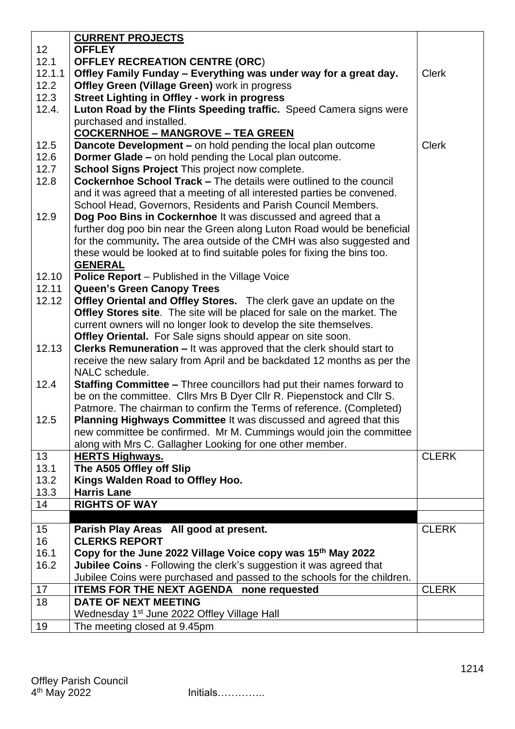|                 | <b>CURRENT PROJECTS</b>                                                        |              |
|-----------------|--------------------------------------------------------------------------------|--------------|
| 12 <sup>2</sup> | <b>OFFLEY</b>                                                                  |              |
| 12.1            | <b>OFFLEY RECREATION CENTRE (ORC)</b>                                          |              |
| 12.1.1          | Offley Family Funday – Everything was under way for a great day.               | <b>Clerk</b> |
| 12.2            | Offley Green (Village Green) work in progress                                  |              |
| 12.3            | <b>Street Lighting in Offley - work in progress</b>                            |              |
| 12.4.           | Luton Road by the Flints Speeding traffic. Speed Camera signs were             |              |
|                 | purchased and installed.                                                       |              |
|                 | <b>COCKERNHOE - MANGROVE - TEA GREEN</b>                                       |              |
| 12.5            | <b>Dancote Development – on hold pending the local plan outcome</b>            | <b>Clerk</b> |
| 12.6            | <b>Dormer Glade - on hold pending the Local plan outcome.</b>                  |              |
| 12.7            | <b>School Signs Project This project now complete.</b>                         |              |
| 12.8            | <b>Cockernhoe School Track – The details were outlined to the council</b>      |              |
|                 | and it was agreed that a meeting of all interested parties be convened.        |              |
|                 | School Head, Governors, Residents and Parish Council Members.                  |              |
| 12.9            | Dog Poo Bins in Cockernhoe It was discussed and agreed that a                  |              |
|                 | further dog poo bin near the Green along Luton Road would be beneficial        |              |
|                 | for the community. The area outside of the CMH was also suggested and          |              |
|                 | these would be looked at to find suitable poles for fixing the bins too.       |              |
|                 | <b>GENERAL</b>                                                                 |              |
| 12.10           | Police Report - Published in the Village Voice                                 |              |
| 12.11           | <b>Queen's Green Canopy Trees</b>                                              |              |
| 12.12           | <b>Offley Oriental and Offley Stores.</b> The clerk gave an update on the      |              |
|                 | <b>Offley Stores site.</b> The site will be placed for sale on the market. The |              |
|                 | current owners will no longer look to develop the site themselves.             |              |
|                 | Offley Oriental. For Sale signs should appear on site soon.                    |              |
| 12.13           | <b>Clerks Remuneration - It was approved that the clerk should start to</b>    |              |
|                 | receive the new salary from April and be backdated 12 months as per the        |              |
|                 | NALC schedule.                                                                 |              |
| 12.4            | <b>Staffing Committee - Three councillors had put their names forward to</b>   |              |
|                 | be on the committee. Cllrs Mrs B Dyer Cllr R. Piepenstock and Cllr S.          |              |
|                 | Patmore. The chairman to confirm the Terms of reference. (Completed)           |              |
| 12.5            | Planning Highways Committee It was discussed and agreed that this              |              |
|                 | new committee be confirmed. Mr M. Cummings would join the committee            |              |
|                 | along with Mrs C. Gallagher Looking for one other member.                      |              |
| 13              | <b>HERTS Highways.</b>                                                         | <b>CLERK</b> |
| 13.1            | The A505 Offley off Slip                                                       |              |
| 13.2            | Kings Walden Road to Offley Hoo.                                               |              |
| 13.3            | <b>Harris Lane</b>                                                             |              |
| 14              | <b>RIGHTS OF WAY</b>                                                           |              |
|                 |                                                                                |              |
| 15              | Parish Play Areas All good at present.                                         | <b>CLERK</b> |
| 16              | <b>CLERKS REPORT</b>                                                           |              |
| 16.1            | Copy for the June 2022 Village Voice copy was 15 <sup>th</sup> May 2022        |              |
| 16.2            | Jubilee Coins - Following the clerk's suggestion it was agreed that            |              |
|                 | Jubilee Coins were purchased and passed to the schools for the children.       |              |
| 17              | <b>ITEMS FOR THE NEXT AGENDA none requested</b>                                | <b>CLERK</b> |
| 18              | <b>DATE OF NEXT MEETING</b>                                                    |              |
|                 | Wednesday 1 <sup>st</sup> June 2022 Offley Village Hall                        |              |
| 19              | The meeting closed at 9.45pm                                                   |              |